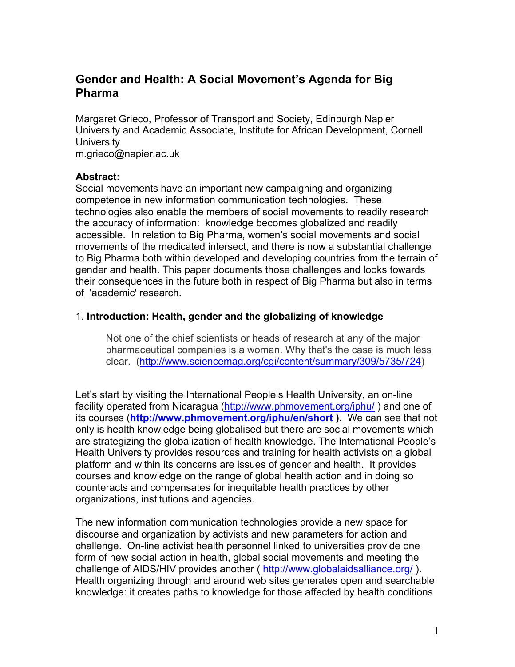# **Gender and Health: A Social Movement's Agenda for Big Pharma**

Margaret Grieco, Professor of Transport and Society, Edinburgh Napier University and Academic Associate, Institute for African Development, Cornell **University** 

m.grieco@napier.ac.uk

## **Abstract:**

Social movements have an important new campaigning and organizing competence in new information communication technologies. These technologies also enable the members of social movements to readily research the accuracy of information: knowledge becomes globalized and readily accessible. In relation to Big Pharma, women's social movements and social movements of the medicated intersect, and there is now a substantial challenge to Big Pharma both within developed and developing countries from the terrain of gender and health. This paper documents those challenges and looks towards their consequences in the future both in respect of Big Pharma but also in terms of 'academic' research.

## 1. **Introduction: Health, gender and the globalizing of knowledge**

Not one of the chief scientists or heads of research at any of the major pharmaceutical companies is a woman. Why that's the case is much less clear. (http://www.sciencemag.org/cgi/content/summary/309/5735/724)

Let's start by visiting the International People's Health University, an on-line facility operated from Nicaragua (http://www.phmovement.org/iphu/) and one of its courses (**http://www.phmovement.org/iphu/en/short ).** We can see that not only is health knowledge being globalised but there are social movements which are strategizing the globalization of health knowledge. The International People's Health University provides resources and training for health activists on a global platform and within its concerns are issues of gender and health. It provides courses and knowledge on the range of global health action and in doing so counteracts and compensates for inequitable health practices by other organizations, institutions and agencies.

The new information communication technologies provide a new space for discourse and organization by activists and new parameters for action and challenge. On-line activist health personnel linked to universities provide one form of new social action in health, global social movements and meeting the challenge of AIDS/HIV provides another ( http://www.globalaidsalliance.org/ ). Health organizing through and around web sites generates open and searchable knowledge: it creates paths to knowledge for those affected by health conditions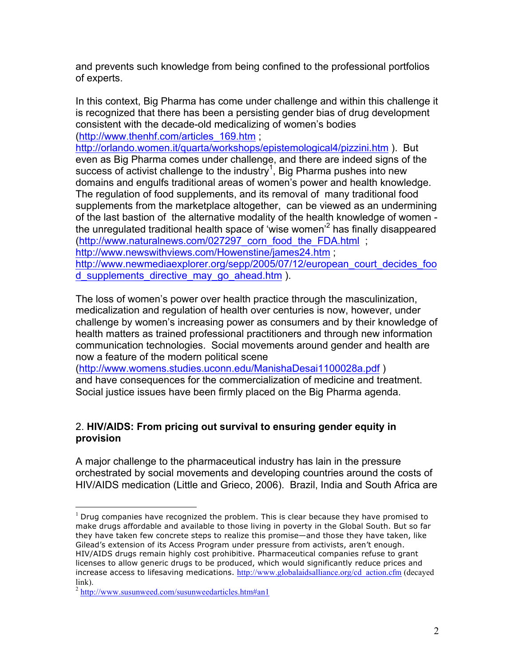and prevents such knowledge from being confined to the professional portfolios of experts.

In this context, Big Pharma has come under challenge and within this challenge it is recognized that there has been a persisting gender bias of drug development consistent with the decade-old medicalizing of women's bodies (http://www.thenhf.com/articles\_169.htm ;

http://orlando.women.it/quarta/workshops/epistemological4/pizzini.htm ). But even as Big Pharma comes under challenge, and there are indeed signs of the success of activist challenge to the industry<sup>1</sup>, Big Pharma pushes into new domains and engulfs traditional areas of women's power and health knowledge. The regulation of food supplements, and its removal of many traditional food supplements from the marketplace altogether, can be viewed as an undermining of the last bastion of the alternative modality of the health knowledge of women the unregulated traditional health space of 'wise women'<sup>2</sup> has finally disappeared (http://www.naturalnews.com/027297\_corn\_food\_the\_FDA.html ; http://www.newswithviews.com/Howenstine/james24.htm ; http://www.newmediaexplorer.org/sepp/2005/07/12/european\_court\_decides\_foo d supplements directive may go ahead.htm ).

The loss of women's power over health practice through the masculinization, medicalization and regulation of health over centuries is now, however, under challenge by women's increasing power as consumers and by their knowledge of health matters as trained professional practitioners and through new information communication technologies. Social movements around gender and health are now a feature of the modern political scene

(http://www.womens.studies.uconn.edu/ManishaDesai1100028a.pdf ) and have consequences for the commercialization of medicine and treatment. Social justice issues have been firmly placed on the Big Pharma agenda.

# 2. **HIV/AIDS: From pricing out survival to ensuring gender equity in provision**

A major challenge to the pharmaceutical industry has lain in the pressure orchestrated by social movements and developing countries around the costs of HIV/AIDS medication (Little and Grieco, 2006). Brazil, India and South Africa are

 $<sup>1</sup>$  Drug companies have recognized the problem. This is clear because they have promised to</sup> make drugs affordable and available to those living in poverty in the Global South. But so far they have taken few concrete steps to realize this promise—and those they have taken, like Gilead's extension of its Access Program under pressure from activists, aren't enough. HIV/AIDS drugs remain highly cost prohibitive. Pharmaceutical companies refuse to grant licenses to allow generic drugs to be produced, which would significantly reduce prices and increase access to lifesaving medications. http://www.globalaidsalliance.org/cd\_action.cfm (decayed link).

<sup>&</sup>lt;sup>2</sup> http://www.susunweed.com/susunweedarticles.htm#an1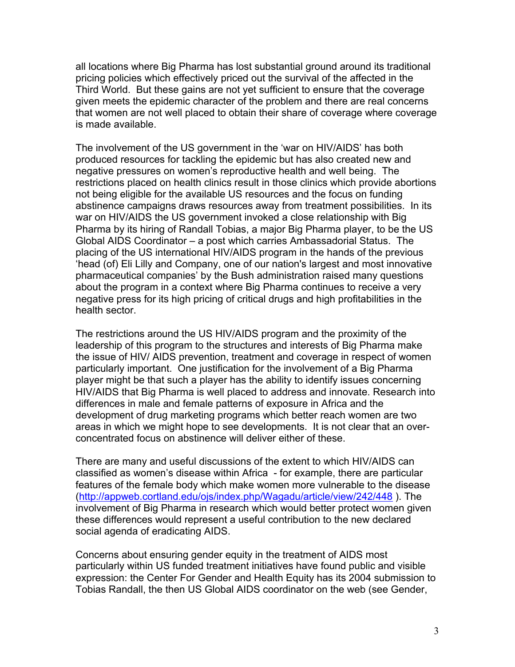all locations where Big Pharma has lost substantial ground around its traditional pricing policies which effectively priced out the survival of the affected in the Third World. But these gains are not yet sufficient to ensure that the coverage given meets the epidemic character of the problem and there are real concerns that women are not well placed to obtain their share of coverage where coverage is made available.

The involvement of the US government in the 'war on HIV/AIDS' has both produced resources for tackling the epidemic but has also created new and negative pressures on women's reproductive health and well being. The restrictions placed on health clinics result in those clinics which provide abortions not being eligible for the available US resources and the focus on funding abstinence campaigns draws resources away from treatment possibilities. In its war on HIV/AIDS the US government invoked a close relationship with Big Pharma by its hiring of Randall Tobias, a major Big Pharma player, to be the US Global AIDS Coordinator – a post which carries Ambassadorial Status. The placing of the US international HIV/AIDS program in the hands of the previous 'head (of) Eli Lilly and Company, one of our nation's largest and most innovative pharmaceutical companies' by the Bush administration raised many questions about the program in a context where Big Pharma continues to receive a very negative press for its high pricing of critical drugs and high profitabilities in the health sector.

The restrictions around the US HIV/AIDS program and the proximity of the leadership of this program to the structures and interests of Big Pharma make the issue of HIV/ AIDS prevention, treatment and coverage in respect of women particularly important. One justification for the involvement of a Big Pharma player might be that such a player has the ability to identify issues concerning HIV/AIDS that Big Pharma is well placed to address and innovate. Research into differences in male and female patterns of exposure in Africa and the development of drug marketing programs which better reach women are two areas in which we might hope to see developments. It is not clear that an overconcentrated focus on abstinence will deliver either of these.

There are many and useful discussions of the extent to which HIV/AIDS can classified as women's disease within Africa - for example, there are particular features of the female body which make women more vulnerable to the disease (http://appweb.cortland.edu/ojs/index.php/Wagadu/article/view/242/448 ). The involvement of Big Pharma in research which would better protect women given these differences would represent a useful contribution to the new declared social agenda of eradicating AIDS.

Concerns about ensuring gender equity in the treatment of AIDS most particularly within US funded treatment initiatives have found public and visible expression: the Center For Gender and Health Equity has its 2004 submission to Tobias Randall, the then US Global AIDS coordinator on the web (see Gender,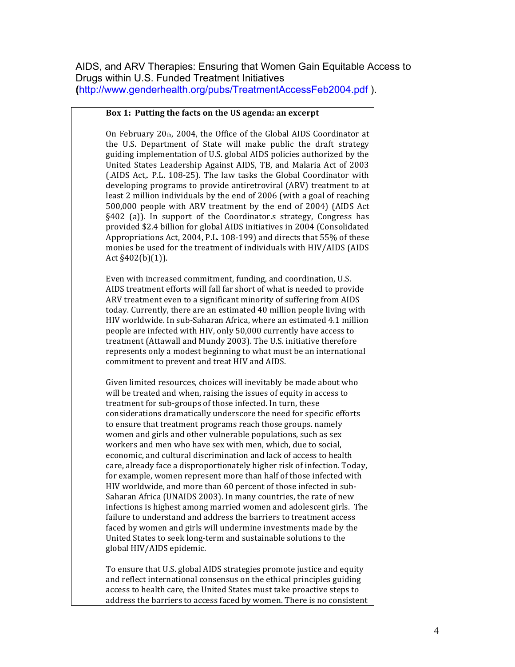AIDS, and ARV Therapies: Ensuring that Women Gain Equitable Access to Drugs within U.S. Funded Treatment Initiatives **(**http://www.genderhealth.org/pubs/TreatmentAccessFeb2004.pdf ).

#### **Box 1: Putting the facts on the US agenda: an excerpt**

On February  $20<sub>th</sub>$ , 2004, the Office of the Global AIDS Coordinator at the U.S. Department of State will make public the draft strategy guiding implementation of U.S. global AIDS policies authorized by the United States Leadership Against AIDS, TB, and Malaria Act of 2003 (.AIDS Act,. P.L. 108-25). The law tasks the Global Coordinator with developing programs to provide antiretroviral (ARV) treatment to at least 2 million individuals by the end of 2006 (with a goal of reaching  $500,000$  people with ARV treatment by the end of 2004) (AIDS Act  $\S402$  (a)). In support of the Coordinator.s strategy, Congress has provided \$2.4 billion for global AIDS initiatives in 2004 (Consolidated Appropriations Act, 2004, P.L. 108-199) and directs that 55% of these monies be used for the treatment of individuals with HIV/AIDS (AIDS Act  $§402(b)(1)$ .

Even with increased commitment, funding, and coordination, U.S. AIDS treatment efforts will fall far short of what is needed to provide ARV treatment even to a significant minority of suffering from AIDS today. Currently, there are an estimated 40 million people living with HIV worldwide. In sub-Saharan Africa, where an estimated 4.1 million people are infected with HIV, only 50,000 currently have access to treatment (Attawall and Mundy 2003). The U.S. initiative therefore represents only a modest beginning to what must be an international commitment to prevent and treat HIV and AIDS.

Given limited resources, choices will inevitably be made about who will be treated and when, raising the issues of equity in access to treatment for sub-groups of those infected. In turn, these considerations dramatically underscore the need for specific efforts to ensure that treatment programs reach those groups. namely women and girls and other vulnerable populations, such as sex workers and men who have sex with men, which, due to social, economic, and cultural discrimination and lack of access to health care, already face a disproportionately higher risk of infection. Today, for example, women represent more than half of those infected with HIV worldwide, and more than 60 percent of those infected in sub-Saharan Africa (UNAIDS 2003). In many countries, the rate of new infections is highest among married women and adolescent girls. The failure to understand and address the barriers to treatment access faced by women and girls will undermine investments made by the United States to seek long-term and sustainable solutions to the global HIV/AIDS epidemic.

To ensure that U.S. global AIDS strategies promote justice and equity and reflect international consensus on the ethical principles guiding access to health care, the United States must take proactive steps to address the barriers to access faced by women. There is no consistent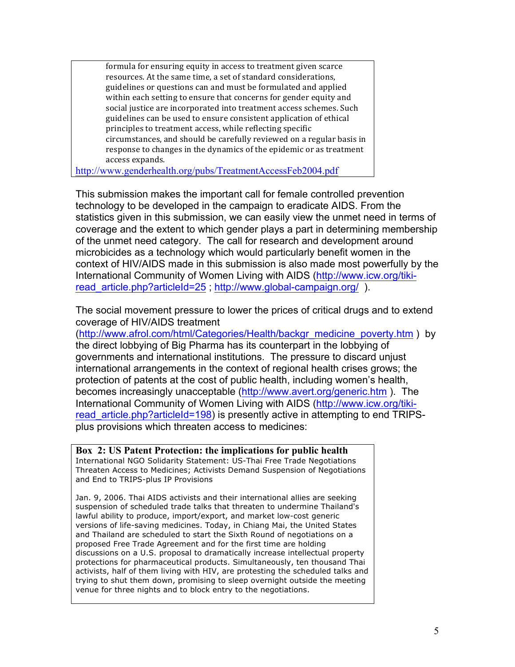formula for ensuring equity in access to treatment given scarce resources. At the same time, a set of standard considerations, guidelines or questions can and must be formulated and applied within each setting to ensure that concerns for gender equity and social justice are incorporated into treatment access schemes. Such guidelines can be used to ensure consistent application of ethical principles to treatment access, while reflecting specific circumstances, and should be carefully reviewed on a regular basis in response to changes in the dynamics of the epidemic or as treatment access expands.

http://www.genderhealth.org/pubs/TreatmentAccessFeb2004.pdf

This submission makes the important call for female controlled prevention technology to be developed in the campaign to eradicate AIDS. From the statistics given in this submission, we can easily view the unmet need in terms of coverage and the extent to which gender plays a part in determining membership of the unmet need category. The call for research and development around microbicides as a technology which would particularly benefit women in the context of HIV/AIDS made in this submission is also made most powerfully by the International Community of Women Living with AIDS (http://www.icw.org/tikiread article.php?articleId=25 ; http://www.global-campaign.org/ ).

The social movement pressure to lower the prices of critical drugs and to extend coverage of HIV/AIDS treatment

(http://www.afrol.com/html/Categories/Health/backgr\_medicine\_poverty.htm ) by the direct lobbying of Big Pharma has its counterpart in the lobbying of governments and international institutions. The pressure to discard unjust international arrangements in the context of regional health crises grows; the protection of patents at the cost of public health, including women's health, becomes increasingly unacceptable (http://www.avert.org/generic.htm ). The International Community of Women Living with AIDS (http://www.icw.org/tikiread article.php?articleId=198) is presently active in attempting to end TRIPSplus provisions which threaten access to medicines:

**Box 2: US Patent Protection: the implications for public health** International NGO Solidarity Statement: US-Thai Free Trade Negotiations Threaten Access to Medicines; Activists Demand Suspension of Negotiations and End to TRIPS-plus IP Provisions

Jan. 9, 2006. Thai AIDS activists and their international allies are seeking suspension of scheduled trade talks that threaten to undermine Thailand's lawful ability to produce, import/export, and market low-cost generic versions of life-saving medicines. Today, in Chiang Mai, the United States and Thailand are scheduled to start the Sixth Round of negotiations on a proposed Free Trade Agreement and for the first time are holding discussions on a U.S. proposal to dramatically increase intellectual property protections for pharmaceutical products. Simultaneously, ten thousand Thai activists, half of them living with HIV, are protesting the scheduled talks and trying to shut them down, promising to sleep overnight outside the meeting venue for three nights and to block entry to the negotiations.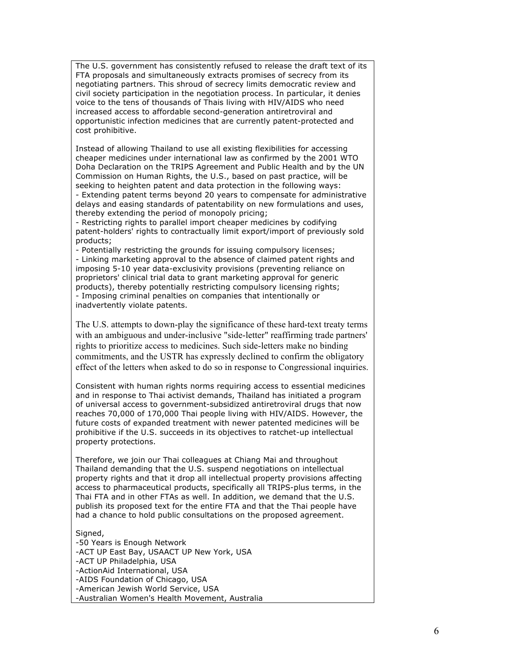The U.S. government has consistently refused to release the draft text of its FTA proposals and simultaneously extracts promises of secrecy from its negotiating partners. This shroud of secrecy limits democratic review and civil society participation in the negotiation process. In particular, it denies voice to the tens of thousands of Thais living with HIV/AIDS who need increased access to affordable second-generation antiretroviral and opportunistic infection medicines that are currently patent-protected and cost prohibitive.

Instead of allowing Thailand to use all existing flexibilities for accessing cheaper medicines under international law as confirmed by the 2001 WTO Doha Declaration on the TRIPS Agreement and Public Health and by the UN Commission on Human Rights, the U.S., based on past practice, will be seeking to heighten patent and data protection in the following ways: - Extending patent terms beyond 20 years to compensate for administrative

delays and easing standards of patentability on new formulations and uses, thereby extending the period of monopoly pricing;

- Restricting rights to parallel import cheaper medicines by codifying patent-holders' rights to contractually limit export/import of previously sold products;

- Potentially restricting the grounds for issuing compulsory licenses; - Linking marketing approval to the absence of claimed patent rights and imposing 5-10 year data-exclusivity provisions (preventing reliance on proprietors' clinical trial data to grant marketing approval for generic products), thereby potentially restricting compulsory licensing rights; - Imposing criminal penalties on companies that intentionally or inadvertently violate patents.

The U.S. attempts to down-play the significance of these hard-text treaty terms with an ambiguous and under-inclusive "side-letter" reaffirming trade partners' rights to prioritize access to medicines. Such side-letters make no binding commitments, and the USTR has expressly declined to confirm the obligatory effect of the letters when asked to do so in response to Congressional inquiries.

Consistent with human rights norms requiring access to essential medicines and in response to Thai activist demands, Thailand has initiated a program of universal access to government-subsidized antiretroviral drugs that now reaches 70,000 of 170,000 Thai people living with HIV/AIDS. However, the future costs of expanded treatment with newer patented medicines will be prohibitive if the U.S. succeeds in its objectives to ratchet-up intellectual property protections.

Therefore, we join our Thai colleagues at Chiang Mai and throughout Thailand demanding that the U.S. suspend negotiations on intellectual property rights and that it drop all intellectual property provisions affecting access to pharmaceutical products, specifically all TRIPS-plus terms, in the Thai FTA and in other FTAs as well. In addition, we demand that the U.S. publish its proposed text for the entire FTA and that the Thai people have had a chance to hold public consultations on the proposed agreement.

#### Signed,

-50 Years is Enough Network -ACT UP East Bay, USAACT UP New York, USA -ACT UP Philadelphia, USA -ActionAid International, USA -AIDS Foundation of Chicago, USA -American Jewish World Service, USA -Australian Women's Health Movement, Australia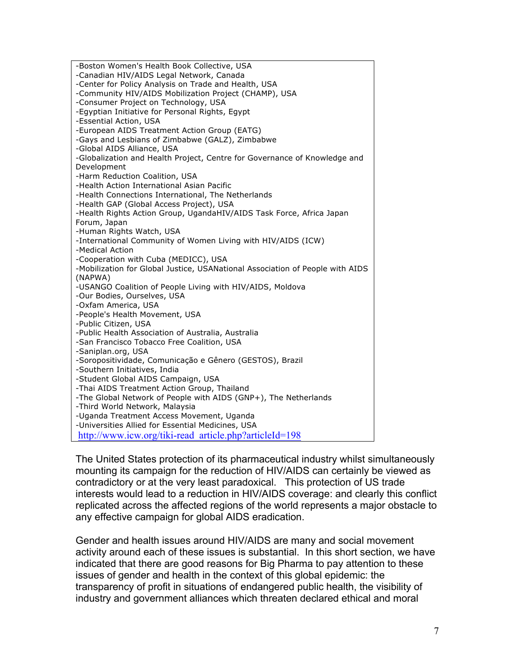| -Boston Women's Health Book Collective, USA                                   |
|-------------------------------------------------------------------------------|
| -Canadian HIV/AIDS Legal Network, Canada                                      |
| -Center for Policy Analysis on Trade and Health, USA                          |
| -Community HIV/AIDS Mobilization Project (CHAMP), USA                         |
| -Consumer Project on Technology, USA                                          |
| -Egyptian Initiative for Personal Rights, Egypt                               |
| -Essential Action, USA                                                        |
| -European AIDS Treatment Action Group (EATG)                                  |
| -Gays and Lesbians of Zimbabwe (GALZ), Zimbabwe                               |
| -Global AIDS Alliance, USA                                                    |
| -Globalization and Health Project, Centre for Governance of Knowledge and     |
| Development                                                                   |
| -Harm Reduction Coalition, USA                                                |
| -Health Action International Asian Pacific                                    |
| -Health Connections International, The Netherlands                            |
| -Health GAP (Global Access Project), USA                                      |
| -Health Rights Action Group, UgandaHIV/AIDS Task Force, Africa Japan          |
| Forum, Japan                                                                  |
| -Human Rights Watch, USA                                                      |
| -International Community of Women Living with HIV/AIDS (ICW)                  |
| -Medical Action                                                               |
| -Cooperation with Cuba (MEDICC), USA                                          |
| -Mobilization for Global Justice, USANational Association of People with AIDS |
| (NAPWA)                                                                       |
| -USANGO Coalition of People Living with HIV/AIDS, Moldova                     |
| -Our Bodies, Ourselves, USA                                                   |
| -Oxfam America, USA                                                           |
| -People's Health Movement, USA                                                |
| -Public Citizen, USA                                                          |
| -Public Health Association of Australia, Australia                            |
| -San Francisco Tobacco Free Coalition, USA                                    |
| -Saniplan.org, USA                                                            |
| -Soropositividade, Comunicação e Gênero (GESTOS), Brazil                      |
| -Southern Initiatives, India                                                  |
| -Student Global AIDS Campaign, USA                                            |
| -Thai AIDS Treatment Action Group, Thailand                                   |
| -The Global Network of People with AIDS (GNP+), The Netherlands               |
| -Third World Network, Malaysia                                                |
| -Uganda Treatment Access Movement, Uganda                                     |
| -Universities Allied for Essential Medicines, USA                             |
| http://www.icw.org/tiki-read article.php?articleId=198                        |
|                                                                               |

The United States protection of its pharmaceutical industry whilst simultaneously mounting its campaign for the reduction of HIV/AIDS can certainly be viewed as contradictory or at the very least paradoxical. This protection of US trade interests would lead to a reduction in HIV/AIDS coverage: and clearly this conflict replicated across the affected regions of the world represents a major obstacle to any effective campaign for global AIDS eradication.

Gender and health issues around HIV/AIDS are many and social movement activity around each of these issues is substantial. In this short section, we have indicated that there are good reasons for Big Pharma to pay attention to these issues of gender and health in the context of this global epidemic: the transparency of profit in situations of endangered public health, the visibility of industry and government alliances which threaten declared ethical and moral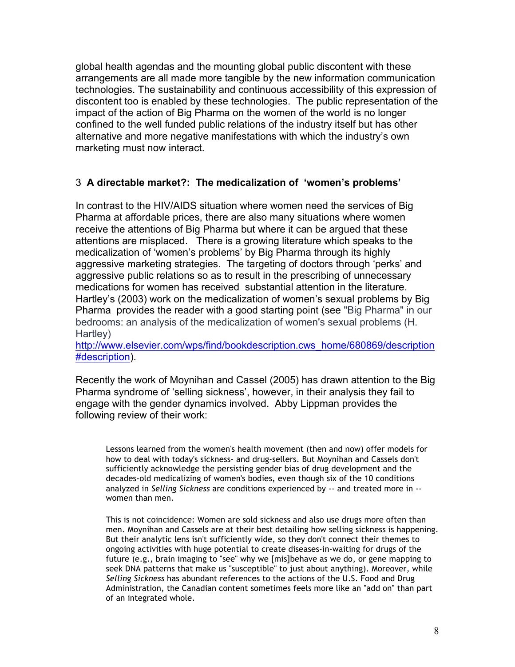global health agendas and the mounting global public discontent with these arrangements are all made more tangible by the new information communication technologies. The sustainability and continuous accessibility of this expression of discontent too is enabled by these technologies. The public representation of the impact of the action of Big Pharma on the women of the world is no longer confined to the well funded public relations of the industry itself but has other alternative and more negative manifestations with which the industry's own marketing must now interact.

# 3 **A directable market?: The medicalization of 'women's problems'**

In contrast to the HIV/AIDS situation where women need the services of Big Pharma at affordable prices, there are also many situations where women receive the attentions of Big Pharma but where it can be argued that these attentions are misplaced. There is a growing literature which speaks to the medicalization of 'women's problems' by Big Pharma through its highly aggressive marketing strategies. The targeting of doctors through 'perks' and aggressive public relations so as to result in the prescribing of unnecessary medications for women has received substantial attention in the literature. Hartley's (2003) work on the medicalization of women's sexual problems by Big Pharma provides the reader with a good starting point (see "Big Pharma" in our bedrooms: an analysis of the medicalization of women's sexual problems (H. Hartley)

http://www.elsevier.com/wps/find/bookdescription.cws\_home/680869/description #description).

Recently the work of Moynihan and Cassel (2005) has drawn attention to the Big Pharma syndrome of 'selling sickness', however, in their analysis they fail to engage with the gender dynamics involved. Abby Lippman provides the following review of their work:

Lessons learned from the women's health movement (then and now) offer models for how to deal with today's sickness- and drug-sellers. But Moynihan and Cassels don't sufficiently acknowledge the persisting gender bias of drug development and the decades-old medicalizing of women's bodies, even though six of the 10 conditions analyzed in *Selling Sickness* are conditions experienced by -- and treated more in - women than men.

This is not coincidence: Women are sold sickness and also use drugs more often than men. Moynihan and Cassels are at their best detailing how selling sickness is happening. But their analytic lens isn't sufficiently wide, so they don't connect their themes to ongoing activities with huge potential to create diseases-in-waiting for drugs of the future (e.g., brain imaging to "see" why we [mis]behave as we do, or gene mapping to seek DNA patterns that make us "susceptible" to just about anything). Moreover, while *Selling Sickness* has abundant references to the actions of the U.S. Food and Drug Administration, the Canadian content sometimes feels more like an "add on" than part of an integrated whole.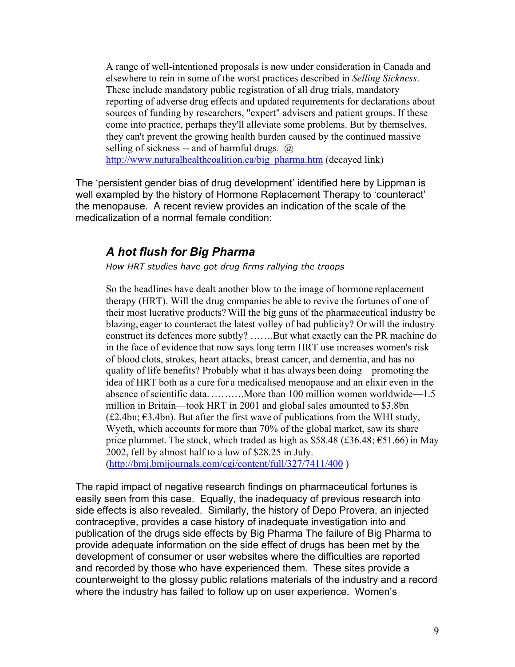A range of well-intentioned proposals is now under consideration in Canada and elsewhere to rein in some of the worst practices described in *Selling Sickness*. These include mandatory public registration of all drug trials, mandatory reporting of adverse drug effects and updated requirements for declarations about sources of funding by researchers, "expert" advisers and patient groups. If these come into practice, perhaps they'll alleviate some problems. But by themselves, they can't prevent the growing health burden caused by the continued massive selling of sickness -- and of harmful drugs.  $\omega$ http://www.naturalhealthcoalition.ca/big\_pharma.htm (decayed link)

The 'persistent gender bias of drug development' identified here by Lippman is well exampled by the history of Hormone Replacement Therapy to 'counteract' the menopause. A recent review provides an indication of the scale of the medicalization of a normal female condition:

# *A hot flush for Big Pharma*

*How HRT studies have got drug firms rallying the troops*

So the headlines have dealt another blow to the image of hormone replacement therapy (HRT). Will the drug companies be able to revive the fortunes of one of their most lucrative products? Will the big guns of the pharmaceutical industry be blazing, eager to counteract the latest volley of bad publicity? Or will the industry construct its defences more subtly? …….But what exactly can the PR machine do in the face of evidence that now says long term HRT use increases women's risk of blood clots, strokes, heart attacks, breast cancer, and dementia, and has no quality of life benefits? Probably what it has always been doing—promoting the idea of HRT both as a cure for a medicalised menopause and an elixir even in the absence ofscientific data. ……….More than 100 million women worldwide—1.5 million in Britain—took HRT in 2001 and global sales amounted to \$3.8bn  $(£2.4bn; €3.4bn)$ . But after the first wave of publications from the WHI study, Wyeth, which accounts for more than 70% of the global market, saw its share price plummet. The stock, which traded as high as \$58.48 (£36.48;  $\epsilon$ 51.66) in May 2002, fell by almost half to a low of \$28.25 in July. (http://bmj.bmjjournals.com/cgi/content/full/327/7411/400 )

The rapid impact of negative research findings on pharmaceutical fortunes is easily seen from this case. Equally, the inadequacy of previous research into side effects is also revealed. Similarly, the history of Depo Provera, an injected contraceptive, provides a case history of inadequate investigation into and publication of the drugs side effects by Big Pharma The failure of Big Pharma to provide adequate information on the side effect of drugs has been met by the development of consumer or user websites where the difficulties are reported and recorded by those who have experienced them. These sites provide a counterweight to the glossy public relations materials of the industry and a record where the industry has failed to follow up on user experience. Women's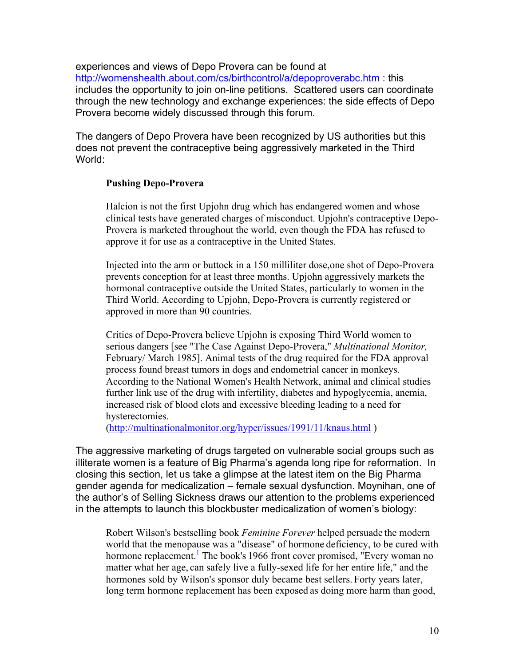experiences and views of Depo Provera can be found at http://womenshealth.about.com/cs/birthcontrol/a/depoproverabc.htm : this includes the opportunity to join on-line petitions. Scattered users can coordinate through the new technology and exchange experiences: the side effects of Depo Provera become widely discussed through this forum.

The dangers of Depo Provera have been recognized by US authorities but this does not prevent the contraceptive being aggressively marketed in the Third World:

## **Pushing Depo-Provera**

Halcion is not the first Upjohn drug which has endangered women and whose clinical tests have generated charges of misconduct. Upjohn's contraceptive Depo-Provera is marketed throughout the world, even though the FDA has refused to approve it for use as a contraceptive in the United States.

Injected into the arm or buttock in a 150 milliliter dose,one shot of Depo-Provera prevents conception for at least three months. Upjohn aggressively markets the hormonal contraceptive outside the United States, particularly to women in the Third World. According to Upjohn, Depo-Provera is currently registered or approved in more than 90 countries.

Critics of Depo-Provera believe Upjohn is exposing Third World women to serious dangers [see "The Case Against Depo-Provera," *Multinational Monitor,* February/ March 1985]. Animal tests of the drug required for the FDA approval process found breast tumors in dogs and endometrial cancer in monkeys. According to the National Women's Health Network, animal and clinical studies further link use of the drug with infertility, diabetes and hypoglycemia, anemia, increased risk of blood clots and excessive bleeding leading to a need for hysterectomies.

(http://multinationalmonitor.org/hyper/issues/1991/11/knaus.html )

The aggressive marketing of drugs targeted on vulnerable social groups such as illiterate women is a feature of Big Pharma's agenda long ripe for reformation. In closing this section, let us take a glimpse at the latest item on the Big Pharma gender agenda for medicalization – female sexual dysfunction. Moynihan, one of the author's of Selling Sickness draws our attention to the problems experienced in the attempts to launch this blockbuster medicalization of women's biology:

Robert Wilson's bestselling book *Feminine Forever* helped persuade the modern world that the menopause was a "disease" of hormone deficiency, to be cured with hormone replacement.<sup> $\frac{1}{2}$ </sup> The book's 1966 front cover promised, "Every woman no matter what her age, can safely live a fully-sexed life for her entire life," and the hormones sold by Wilson's sponsor duly became best sellers. Forty years later, long term hormone replacement has been exposed as doing more harm than good,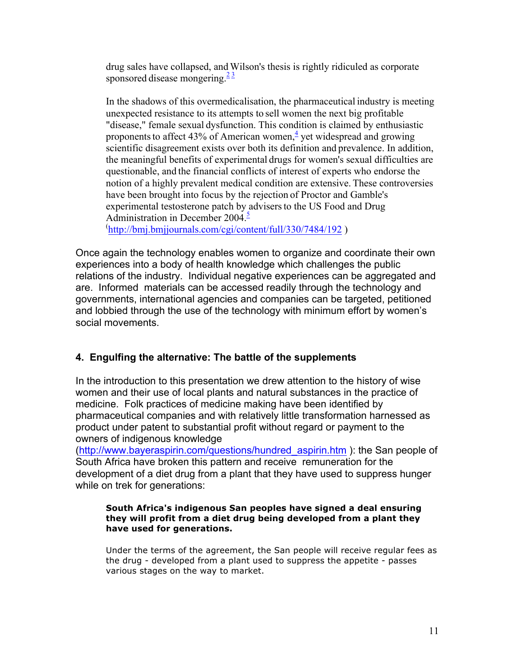drug sales have collapsed, and Wilson's thesis is rightly ridiculed as corporate sponsored disease mongering. $\frac{23}{2}$ 

In the shadows of this overmedicalisation, the pharmaceutical industry is meeting unexpected resistance to its attempts to sell women the next big profitable "disease," female sexual dysfunction. This condition is claimed by enthusiastic proponents to affect 43% of American women, $\frac{4}{3}$  vet widespread and growing scientific disagreement exists over both its definition and prevalence. In addition, the meaningful benefits of experimental drugs for women's sexual difficulties are questionable, and the financial conflicts of interest of experts who endorse the notion of a highly prevalent medical condition are extensive. These controversies have been brought into focus by the rejection of Proctor and Gamble's experimental testosterone patch by advisers to the US Food and Drug Administration in December 2004. $\frac{5}{3}$ 

( http://bmj.bmjjournals.com/cgi/content/full/330/7484/192 )

Once again the technology enables women to organize and coordinate their own experiences into a body of health knowledge which challenges the public relations of the industry. Individual negative experiences can be aggregated and are. Informed materials can be accessed readily through the technology and governments, international agencies and companies can be targeted, petitioned and lobbied through the use of the technology with minimum effort by women's social movements.

# **4. Engulfing the alternative: The battle of the supplements**

In the introduction to this presentation we drew attention to the history of wise women and their use of local plants and natural substances in the practice of medicine. Folk practices of medicine making have been identified by pharmaceutical companies and with relatively little transformation harnessed as product under patent to substantial profit without regard or payment to the owners of indigenous knowledge

(http://www.bayeraspirin.com/questions/hundred\_aspirin.htm ): the San people of South Africa have broken this pattern and receive remuneration for the development of a diet drug from a plant that they have used to suppress hunger while on trek for generations:

### **South Africa's indigenous San peoples have signed a deal ensuring they will profit from a diet drug being developed from a plant they have used for generations.**

Under the terms of the agreement, the San people will receive regular fees as the drug - developed from a plant used to suppress the appetite - passes various stages on the way to market.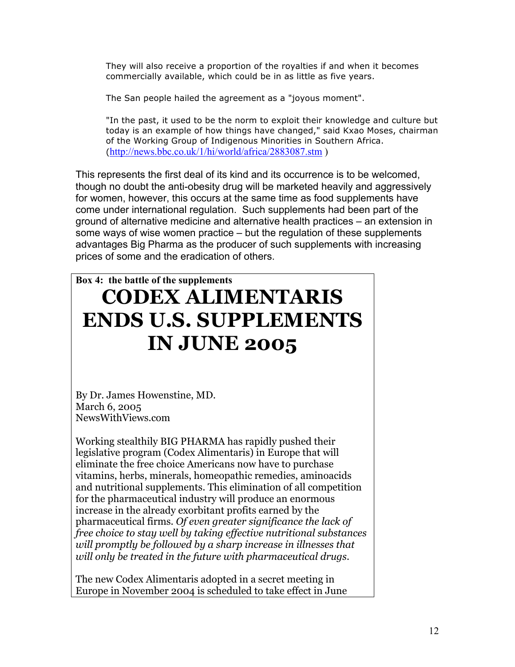They will also receive a proportion of the royalties if and when it becomes commercially available, which could be in as little as five years.

The San people hailed the agreement as a "joyous moment".

"In the past, it used to be the norm to exploit their knowledge and culture but today is an example of how things have changed," said Kxao Moses, chairman of the Working Group of Indigenous Minorities in Southern Africa. (http://news.bbc.co.uk/1/hi/world/africa/2883087.stm )

This represents the first deal of its kind and its occurrence is to be welcomed, though no doubt the anti-obesity drug will be marketed heavily and aggressively for women, however, this occurs at the same time as food supplements have come under international regulation. Such supplements had been part of the ground of alternative medicine and alternative health practices – an extension in some ways of wise women practice – but the regulation of these supplements advantages Big Pharma as the producer of such supplements with increasing prices of some and the eradication of others.

# **Box 4: the battle of the supplements CODEX ALIMENTARIS ENDS U.S. SUPPLEMENTS IN JUNE 2005**

By Dr. James Howenstine, MD. March 6, 2005 NewsWithViews.com

Working stealthily BIG PHARMA has rapidly pushed their legislative program (Codex Alimentaris) in Europe that will eliminate the free choice Americans now have to purchase vitamins, herbs, minerals, homeopathic remedies, aminoacids and nutritional supplements. This elimination of all competition for the pharmaceutical industry will produce an enormous increase in the already exorbitant profits earned by the pharmaceutical firms. *Of even greater significance the lack of free choice to stay well by taking effective nutritional substances will promptly be followed by a sharp increase in illnesses that will only be treated in the future with pharmaceutical drugs.* 

The new Codex Alimentaris adopted in a secret meeting in Europe in November 2004 is scheduled to take effect in June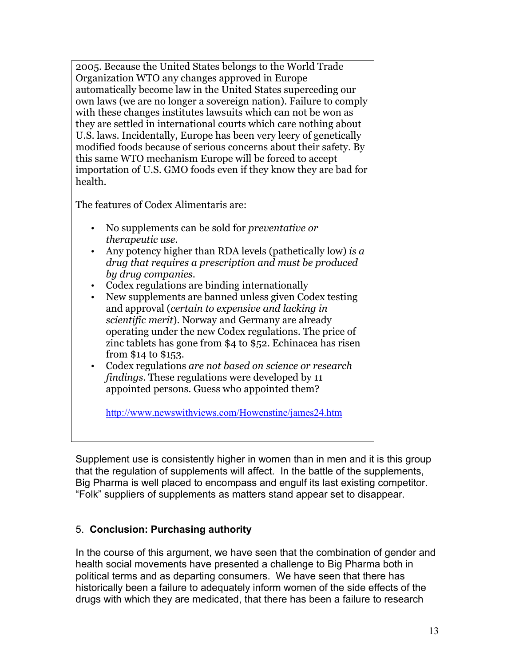2005. Because the United States belongs to the World Trade Organization WTO any changes approved in Europe automatically become law in the United States superceding our own laws (we are no longer a sovereign nation). Failure to comply with these changes institutes lawsuits which can not be won as they are settled in international courts which care nothing about U.S. laws. Incidentally, Europe has been very leery of genetically modified foods because of serious concerns about their safety. By this same WTO mechanism Europe will be forced to accept importation of U.S. GMO foods even if they know they are bad for health.

The features of Codex Alimentaris are:

- No supplements can be sold for *preventative or therapeutic use*.
- Any potency higher than RDA levels (pathetically low) *is a drug that requires a prescription and must be produced by drug companies*.
- Codex regulations are binding internationally
- New supplements are banned unless given Codex testing and approval (*certain to expensive and lacking in scientific merit*). Norway and Germany are already operating under the new Codex regulations. The price of zinc tablets has gone from \$4 to \$52. Echinacea has risen from \$14 to \$153.
- Codex regulations *are not based on science or research findings*. These regulations were developed by 11 appointed persons. Guess who appointed them?

http://www.newswithviews.com/Howenstine/james24.htm

Supplement use is consistently higher in women than in men and it is this group that the regulation of supplements will affect. In the battle of the supplements, Big Pharma is well placed to encompass and engulf its last existing competitor. "Folk" suppliers of supplements as matters stand appear set to disappear.

# 5. **Conclusion: Purchasing authority**

In the course of this argument, we have seen that the combination of gender and health social movements have presented a challenge to Big Pharma both in political terms and as departing consumers. We have seen that there has historically been a failure to adequately inform women of the side effects of the drugs with which they are medicated, that there has been a failure to research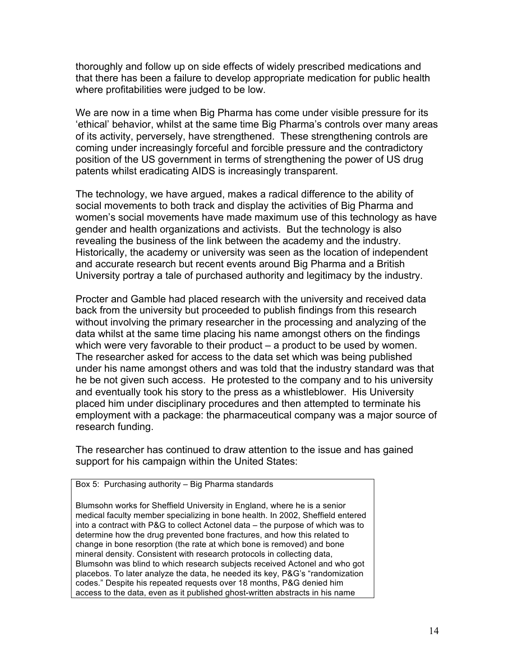thoroughly and follow up on side effects of widely prescribed medications and that there has been a failure to develop appropriate medication for public health where profitabilities were judged to be low.

We are now in a time when Big Pharma has come under visible pressure for its 'ethical' behavior, whilst at the same time Big Pharma's controls over many areas of its activity, perversely, have strengthened. These strengthening controls are coming under increasingly forceful and forcible pressure and the contradictory position of the US government in terms of strengthening the power of US drug patents whilst eradicating AIDS is increasingly transparent.

The technology, we have argued, makes a radical difference to the ability of social movements to both track and display the activities of Big Pharma and women's social movements have made maximum use of this technology as have gender and health organizations and activists. But the technology is also revealing the business of the link between the academy and the industry. Historically, the academy or university was seen as the location of independent and accurate research but recent events around Big Pharma and a British University portray a tale of purchased authority and legitimacy by the industry.

Procter and Gamble had placed research with the university and received data back from the university but proceeded to publish findings from this research without involving the primary researcher in the processing and analyzing of the data whilst at the same time placing his name amongst others on the findings which were very favorable to their product – a product to be used by women. The researcher asked for access to the data set which was being published under his name amongst others and was told that the industry standard was that he be not given such access. He protested to the company and to his university and eventually took his story to the press as a whistleblower. His University placed him under disciplinary procedures and then attempted to terminate his employment with a package: the pharmaceutical company was a major source of research funding.

The researcher has continued to draw attention to the issue and has gained support for his campaign within the United States:

Box 5: Purchasing authority – Big Pharma standards

Blumsohn works for Sheffield University in England, where he is a senior medical faculty member specializing in bone health. In 2002, Sheffield entered into a contract with P&G to collect Actonel data – the purpose of which was to determine how the drug prevented bone fractures, and how this related to change in bone resorption (the rate at which bone is removed) and bone mineral density. Consistent with research protocols in collecting data, Blumsohn was blind to which research subjects received Actonel and who got placebos. To later analyze the data, he needed its key, P&G's "randomization codes." Despite his repeated requests over 18 months, P&G denied him access to the data, even as it published ghost-written abstracts in his name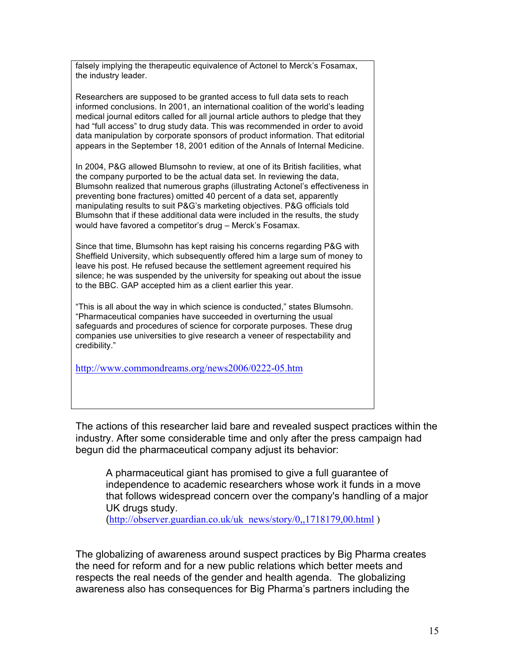falsely implying the therapeutic equivalence of Actonel to Merck's Fosamax, the industry leader.

Researchers are supposed to be granted access to full data sets to reach informed conclusions. In 2001, an international coalition of the world's leading medical journal editors called for all journal article authors to pledge that they had "full access" to drug study data. This was recommended in order to avoid data manipulation by corporate sponsors of product information. That editorial appears in the September 18, 2001 edition of the Annals of Internal Medicine.

In 2004, P&G allowed Blumsohn to review, at one of its British facilities, what the company purported to be the actual data set. In reviewing the data, Blumsohn realized that numerous graphs (illustrating Actonel's effectiveness in preventing bone fractures) omitted 40 percent of a data set, apparently manipulating results to suit P&G's marketing objectives. P&G officials told Blumsohn that if these additional data were included in the results, the study would have favored a competitor's drug – Merck's Fosamax.

Since that time, Blumsohn has kept raising his concerns regarding P&G with Sheffield University, which subsequently offered him a large sum of money to leave his post. He refused because the settlement agreement required his silence; he was suspended by the university for speaking out about the issue to the BBC. GAP accepted him as a client earlier this year.

"This is all about the way in which science is conducted," states Blumsohn. "Pharmaceutical companies have succeeded in overturning the usual safeguards and procedures of science for corporate purposes. These drug companies use universities to give research a veneer of respectability and credibility."

http://www.commondreams.org/news2006/0222-05.htm

The actions of this researcher laid bare and revealed suspect practices within the industry. After some considerable time and only after the press campaign had begun did the pharmaceutical company adjust its behavior:

A pharmaceutical giant has promised to give a full guarantee of independence to academic researchers whose work it funds in a move that follows widespread concern over the company's handling of a major UK drugs study.

(http://observer.guardian.co.uk/uk\_news/story/0,,1718179,00.html)

The globalizing of awareness around suspect practices by Big Pharma creates the need for reform and for a new public relations which better meets and respects the real needs of the gender and health agenda. The globalizing awareness also has consequences for Big Pharma's partners including the